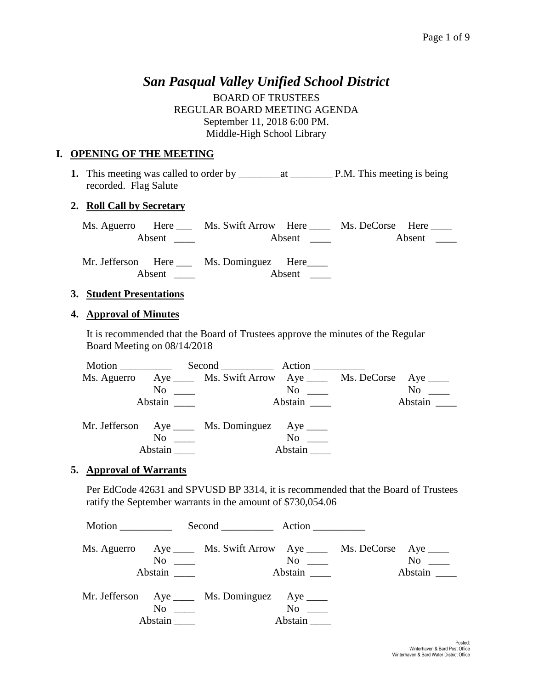# *San Pasqual Valley Unified School District*

BOARD OF TRUSTEES REGULAR BOARD MEETING AGENDA September 11, 2018 6:00 PM. Middle-High School Library

## **I. OPENING OF THE MEETING**

**1.** This meeting was called to order by \_\_\_\_\_\_\_\_at \_\_\_\_\_\_\_\_ P.M. This meeting is being recorded. Flag Salute

## **2. Roll Call by Secretary**

| Ms. Aguerro Here |  | Ms. Swift Arrow Here |  |                        | Ms. DeCorse Here |  |  |
|------------------|--|----------------------|--|------------------------|------------------|--|--|
|                  |  |                      |  | Absent $\qquad \qquad$ |                  |  |  |
|                  |  |                      |  |                        |                  |  |  |

Mr. Jefferson Here Ms. Dominguez Here Absent \_\_\_\_ Absent \_\_\_

### **3. Student Presentations**

### **4. Approval of Minutes**

It is recommended that the Board of Trustees approve the minutes of the Regular Board Meeting on 08/14/2018

|                                             | Second Action                                                        |                                                                                                                                                                                                                                |           |
|---------------------------------------------|----------------------------------------------------------------------|--------------------------------------------------------------------------------------------------------------------------------------------------------------------------------------------------------------------------------|-----------|
|                                             | Ms. Aguerro Aye _____ Ms. Swift Arrow Aye _____ Ms. DeCorse Aye ____ |                                                                                                                                                                                                                                |           |
|                                             | $\overline{\text{No}}$                                               | $\overline{N}$ o $\overline{\phantom{0}}$                                                                                                                                                                                      | $No \ \_$ |
| Abstain                                     |                                                                      | Abstain here are the set of the set of the set of the set of the set of the set of the set of the set of the set of the set of the set of the set of the set of the set of the set of the set of the set of the set of the set | Abstain   |
|                                             | Mr. Jefferson Aye _____ Ms. Dominguez Aye _____                      |                                                                                                                                                                                                                                |           |
| $\overline{N}$ o $\overline{\phantom{nnn}}$ |                                                                      | $No \_\_$                                                                                                                                                                                                                      |           |
|                                             |                                                                      | Abstain                                                                                                                                                                                                                        |           |

### **5. Approval of Warrants**

Per EdCode 42631 and SPVUSD BP 3314, it is recommended that the Board of Trustees ratify the September warrants in the amount of \$730,054.06

|  |                     | Second Action                                                                                  |                  |               |  |  |
|--|---------------------|------------------------------------------------------------------------------------------------|------------------|---------------|--|--|
|  | Abstain             | Ms. Aguerro Aye _____ Ms. Swift Arrow Aye _____ Ms. DeCorse Aye ____<br>$\overline{\text{No}}$ | No<br>Abstain    | No<br>Abstain |  |  |
|  | $\rm No$<br>Abstain | Mr. Jefferson Aye _____ Ms. Dominguez Aye _____                                                | No no<br>Abstain |               |  |  |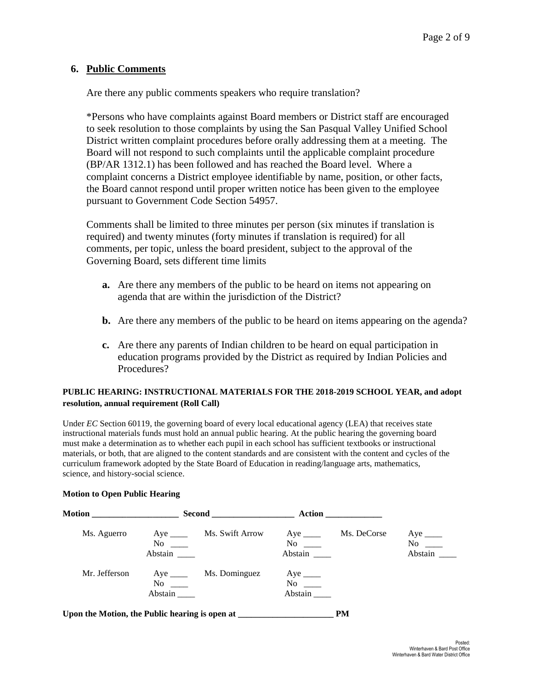### **6. Public Comments**

Are there any public comments speakers who require translation?

\*Persons who have complaints against Board members or District staff are encouraged to seek resolution to those complaints by using the San Pasqual Valley Unified School District written complaint procedures before orally addressing them at a meeting. The Board will not respond to such complaints until the applicable complaint procedure (BP/AR 1312.1) has been followed and has reached the Board level. Where a complaint concerns a District employee identifiable by name, position, or other facts, the Board cannot respond until proper written notice has been given to the employee pursuant to Government Code Section 54957.

Comments shall be limited to three minutes per person (six minutes if translation is required) and twenty minutes (forty minutes if translation is required) for all comments, per topic, unless the board president, subject to the approval of the Governing Board, sets different time limits

- **a.** Are there any members of the public to be heard on items not appearing on agenda that are within the jurisdiction of the District?
- **b.** Are there any members of the public to be heard on items appearing on the agenda?
- **c.** Are there any parents of Indian children to be heard on equal participation in education programs provided by the District as required by Indian Policies and Procedures?

#### **PUBLIC HEARING: INSTRUCTIONAL MATERIALS FOR THE 2018-2019 SCHOOL YEAR, and adopt resolution, annual requirement (Roll Call)**

Under *EC* Section 60119, the governing board of every local educational agency (LEA) that receives state instructional materials funds must hold an annual public hearing. At the public hearing the governing board must make a determination as to whether each pupil in each school has sufficient textbooks or instructional materials, or both, that are aligned to the content standards and are consistent with the content and cycles of the curriculum framework adopted by the State Board of Education in reading/language arts, mathematics, science, and history-social science.

# Motion **Second** Action **Action** Ms. Aguerro Aye \_\_\_\_ Ms. Swift Arrow Aye \_\_\_\_ Ms. DeCorse Aye \_\_\_\_ No \_\_\_\_ No \_\_\_ No \_\_ No \_\_ No \_\_ Abstain \_\_\_\_ Abstain \_\_\_ Abstain \_\_\_ Abstain \_\_\_ Mr. Jefferson Aye \_\_\_\_ Ms. Dominguez Aye \_\_\_\_ No \_\_\_\_ No \_\_\_\_ Abstain \_\_\_\_ Abstain \_\_\_\_ Upon the Motion, the Public hearing is open at **PM**

#### **Motion to Open Public Hearing**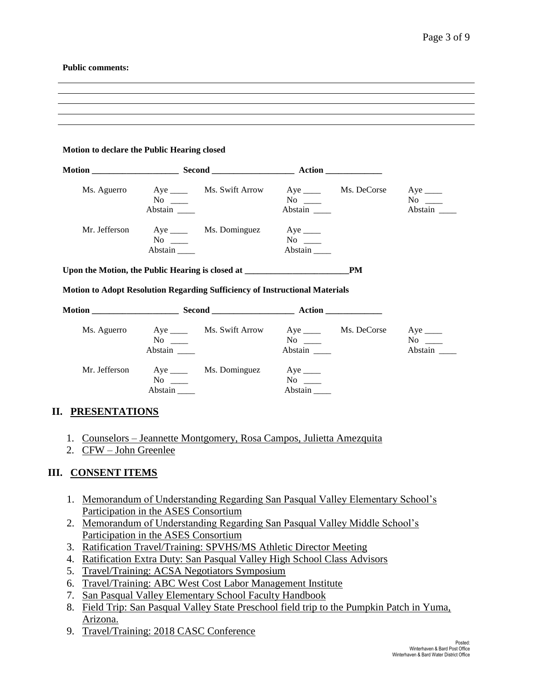#### **Public comments:**

#### **Motion to declare the Public Hearing closed**

| <b>Motion</b> | <b>Second Second</b>                  |                 | Action                                                                                                                                                                                                                                              |             |                                |
|---------------|---------------------------------------|-----------------|-----------------------------------------------------------------------------------------------------------------------------------------------------------------------------------------------------------------------------------------------------|-------------|--------------------------------|
| Ms. Aguerro   | Aye $\_\_\_\_\_\_\$<br>No<br>Abstain  | Ms. Swift Arrow | Aye<br>No new years of the New York of the New York of the New York of the New York of the New York of the New York o<br>New York of the New York of the New York of the New York of the New York of the New York of the New York of the<br>Abstain | Ms. DeCorse | Aye $\_\_$<br>No no<br>Abstain |
| Mr. Jefferson | Aye $\_\_\_\_\_\_\$<br>No.<br>Abstain | Ms. Dominguez   | $Aye$ <sub>____</sub><br>No no<br>Abstain                                                                                                                                                                                                           |             |                                |

**Upon the Motion, the Public Hearing is closed at \_\_\_\_\_\_\_\_\_\_\_\_\_\_\_\_\_\_\_\_\_\_\_\_PM**

#### **Motion to Adopt Resolution Regarding Sufficiency of Instructional Materials**

| Motion ______________ |                                    |                 | <b>Action</b>                      |             |                                  |
|-----------------------|------------------------------------|-----------------|------------------------------------|-------------|----------------------------------|
| Ms. Aguerro           | Aye $\_\_\_\_\_\$<br>No<br>Abstain | Ms. Swift Arrow | Aye $\_\_\_\_\_\$<br>No<br>Abstain | Ms. DeCorse | Aye $\_\_\_\_\$<br>No<br>Abstain |
| Mr. Jefferson         | Aye $\_\_\_\_\_\$<br>No<br>Abstain | Ms. Dominguez   | Aye<br>No<br>Abstain               |             |                                  |

### **II. PRESENTATIONS**

- 1. Counselors Jeannette Montgomery, Rosa Campos, Julietta Amezquita
- 2. CFW John Greenlee

### **III. CONSENT ITEMS**

- 1. Memorandum of Understanding Regarding San Pasqual Valley Elementary School's Participation in the ASES Consortium
- 2. Memorandum of Understanding Regarding San Pasqual Valley Middle School's Participation in the ASES Consortium
- 3. Ratification Travel/Training: SPVHS/MS Athletic Director Meeting
- 4. Ratification Extra Duty: San Pasqual Valley High School Class Advisors
- 5. Travel/Training: ACSA Negotiators Symposium
- 6. Travel/Training: ABC West Cost Labor Management Institute
- 7. San Pasqual Valley Elementary School Faculty Handbook
- 8. Field Trip: San Pasqual Valley State Preschool field trip to the Pumpkin Patch in Yuma, Arizona.
- 9. Travel/Training: 2018 CASC Conference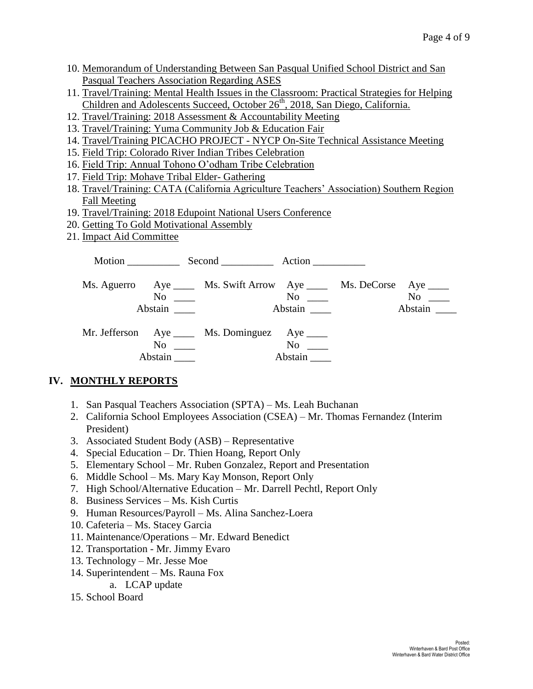- 10. Memorandum of Understanding Between San Pasqual Unified School District and San Pasqual Teachers Association Regarding ASES
- 11. Travel/Training: Mental Health Issues in the Classroom: Practical Strategies for Helping Children and Adolescents Succeed, October 26<sup>th</sup>, 2018, San Diego, California.
- 12. Travel/Training: 2018 Assessment & Accountability Meeting
- 13. Travel/Training: Yuma Community Job & Education Fair
- 14. Travel/Training PICACHO PROJECT NYCP On-Site Technical Assistance Meeting
- 15. Field Trip: Colorado River Indian Tribes Celebration
- 16. Field Trip: Annual Tohono O'odham Tribe Celebration
- 17. Field Trip: Mohave Tribal Elder- Gathering
- 18. Travel/Training: CATA (California Agriculture Teachers' Association) Southern Region Fall Meeting
- 19. Travel/Training: 2018 Edupoint National Users Conference
- 20. Getting To Gold Motivational Assembly
- 21. Impact Aid Committee

|                      | Motion Second Action                                                                                                     |                      |               |
|----------------------|--------------------------------------------------------------------------------------------------------------------------|----------------------|---------------|
| Abstain              | Ms. Aguerro Aye _____ Ms. Swift Arrow Aye _____ Ms. DeCorse Aye _____<br>$\overline{\text{No}}$ $\overline{\phantom{0}}$ | $No \ \_$<br>Abstain | No<br>Abstain |
| $No \ \_$<br>Abstain | Mr. Jefferson Aye _____ Ms. Dominguez Aye _____                                                                          | $\rm No$<br>Abstain  |               |

# **IV. MONTHLY REPORTS**

- 1. San Pasqual Teachers Association (SPTA) Ms. Leah Buchanan
- 2. California School Employees Association (CSEA) Mr. Thomas Fernandez (Interim President)
- 3. Associated Student Body (ASB) Representative
- 4. Special Education Dr. Thien Hoang, Report Only
- 5. Elementary School Mr. Ruben Gonzalez, Report and Presentation
- 6. Middle School Ms. Mary Kay Monson, Report Only
- 7. High School/Alternative Education Mr. Darrell Pechtl, Report Only
- 8. Business Services Ms. Kish Curtis
- 9. Human Resources/Payroll Ms. Alina Sanchez-Loera
- 10. Cafeteria Ms. Stacey Garcia
- 11. Maintenance/Operations Mr. Edward Benedict
- 12. Transportation Mr. Jimmy Evaro
- 13. Technology Mr. Jesse Moe
- 14. Superintendent Ms. Rauna Fox
	- a. LCAP update
- 15. School Board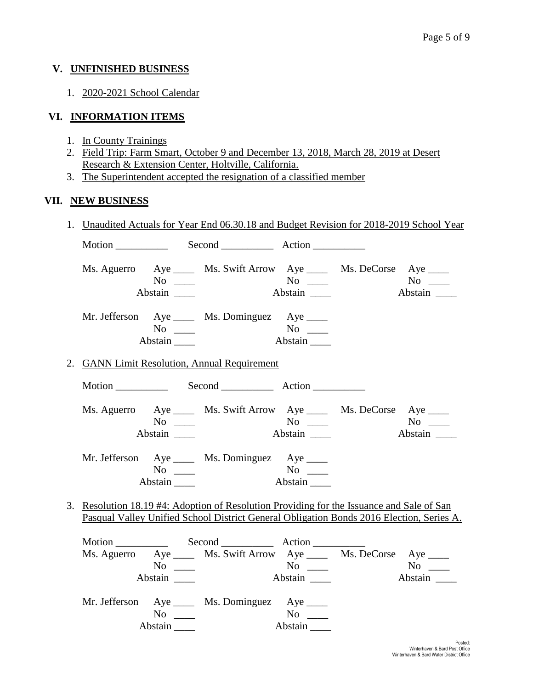### **V. UNFINISHED BUSINESS**

1. 2020-2021 School Calendar

## **VI. INFORMATION ITEMS**

- 1. In County Trainings
- 2. Field Trip: Farm Smart, October 9 and December 13, 2018, March 28, 2019 at Desert Research & Extension Center, Holtville, California.
- 3. The Superintendent accepted the resignation of a classified member

### **VII. NEW BUSINESS**

| $\frac{1}{2}$ |                        | 1. Unaudited Actuals for Year End 06.30.18 and Budget Revision for 2018-2019 School Year                                                                                              |                      |                      |
|---------------|------------------------|---------------------------------------------------------------------------------------------------------------------------------------------------------------------------------------|----------------------|----------------------|
|               |                        | Motion Second Action                                                                                                                                                                  |                      |                      |
|               | $No \_\_$<br>Abstain   | Ms. Aguerro Aye _____ Ms. Swift Arrow Aye _____ Ms. DeCorse Aye ____                                                                                                                  | $No \ \_$<br>Abstain | $No \_$<br>Abstain   |
|               | $No \ \_$<br>Abstain   | Mr. Jefferson Aye _____ Ms. Dominguez Aye ____                                                                                                                                        |                      |                      |
|               |                        | 2. GANN Limit Resolution, Annual Requirement                                                                                                                                          |                      |                      |
|               |                        |                                                                                                                                                                                       |                      |                      |
|               | $No \ \_$<br>Abstain   | Ms. Aguerro Aye _____ Ms. Swift Arrow Aye _____ Ms. DeCorse Aye ____                                                                                                                  |                      | Abstain              |
|               | $No \_$<br>Abstain     | Mr. Jefferson Aye ____ Ms. Dominguez Aye ____                                                                                                                                         | No<br>Abstain        |                      |
|               |                        | 3. Resolution 18.19 #4: Adoption of Resolution Providing for the Issuance and Sale of San<br>Pasqual Valley Unified School District General Obligation Bonds 2016 Election, Series A. |                      |                      |
|               | No $\qquad$<br>Abstain | Motion Second Action<br>Ms. Aguerro Aye _____ Ms. Swift Arrow Aye _____ Ms. DeCorse Aye ____                                                                                          |                      | $No \ \_$<br>Abstain |
|               | $No \ \_$              | Mr. Jefferson Aye _____ Ms. Dominguez Aye ____                                                                                                                                        | $No \ \_$            |                      |

Abstain \_\_\_\_ Abstain \_\_\_\_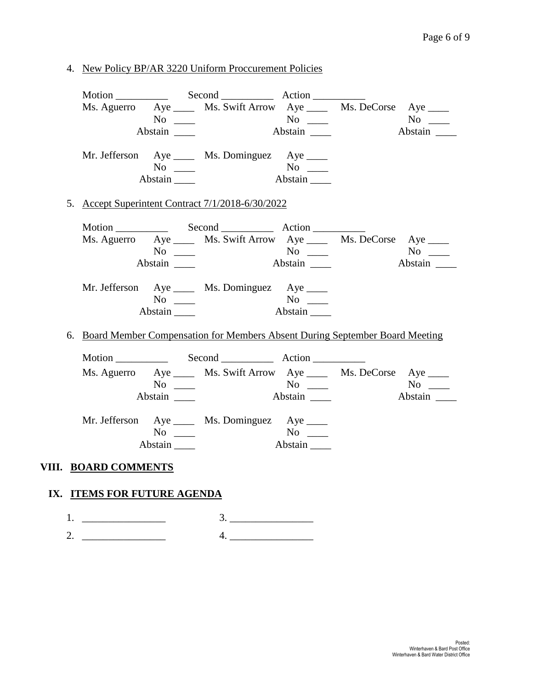4. New Policy BP/AR 3220 Uniform Proccurement Policies

|  |                                           | Ms. Aguerro Aye ______ Ms. Swift Arrow Aye ______ Ms. DeCorse Aye _____        |                             |         |
|--|-------------------------------------------|--------------------------------------------------------------------------------|-----------------------------|---------|
|  |                                           |                                                                                |                             |         |
|  | Abstain                                   |                                                                                | Abstain                     | Abstain |
|  |                                           |                                                                                |                             |         |
|  |                                           | Mr. Jefferson Aye _____ Ms. Dominguez Aye _____                                |                             |         |
|  | $No \ \_$                                 |                                                                                |                             |         |
|  | Abstain                                   |                                                                                | Abstain                     |         |
|  |                                           | 5. Accept Superintent Contract 7/1/2018-6/30/2022                              |                             |         |
|  |                                           |                                                                                |                             |         |
|  |                                           | Ms. Aguerro Aye ______ Ms. Swift Arrow Aye ______ Ms. DeCorse Aye _____        |                             |         |
|  | $\overline{N_0}$ $\overline{\phantom{0}}$ |                                                                                |                             |         |
|  | Abstain _______                           |                                                                                | Abstain                     | Abstain |
|  |                                           |                                                                                |                             |         |
|  |                                           | Mr. Jefferson Aye _____ Ms. Dominguez Aye _____                                |                             |         |
|  | $No \ \_$                                 |                                                                                |                             |         |
|  | Abstain                                   |                                                                                | Abstain                     |         |
|  |                                           |                                                                                |                             |         |
|  |                                           | 6. Board Member Compensation for Members Absent During September Board Meeting |                             |         |
|  |                                           |                                                                                |                             |         |
|  |                                           | Ms. Aguerro Aye _____ Ms. Swift Arrow Aye _____ Ms. DeCorse Aye ____           |                             |         |
|  | $No \ \_$                                 |                                                                                |                             | $No \_$ |
|  |                                           |                                                                                | $\overline{\text{Abstain}}$ | Abstain |
|  |                                           | Mr. Jefferson Aye _____ Ms. Dominguez Aye _____                                |                             |         |
|  | $No \ \_$                                 |                                                                                |                             |         |
|  | Abstain                                   |                                                                                | Abstain                     |         |
|  |                                           |                                                                                |                             |         |

# **VIII. BOARD COMMENTS**

# **IX. ITEMS FOR FUTURE AGENDA**

1. \_\_\_\_\_\_\_\_\_\_\_\_\_\_\_\_ 3. \_\_\_\_\_\_\_\_\_\_\_\_\_\_\_\_ 2. \_\_\_\_\_\_\_\_\_\_\_\_\_\_\_\_ 4. \_\_\_\_\_\_\_\_\_\_\_\_\_\_\_\_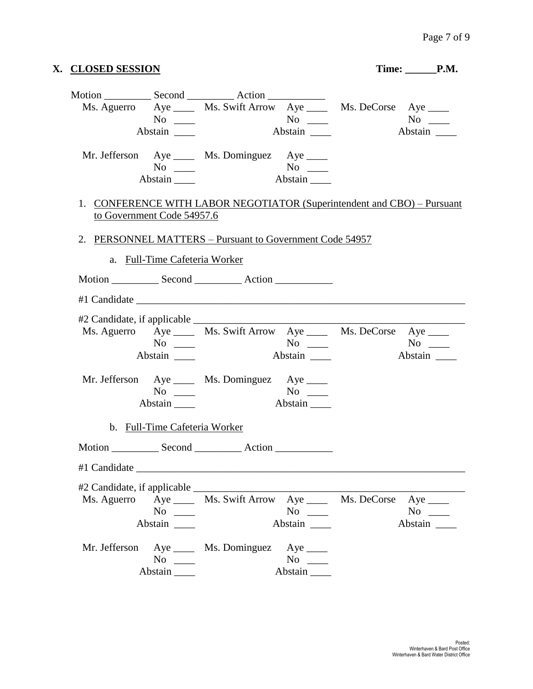|                            | X. CLOSED SESSION                                                                                    |                                                                         |                        | Time: P.M. |                                    |
|----------------------------|------------------------------------------------------------------------------------------------------|-------------------------------------------------------------------------|------------------------|------------|------------------------------------|
|                            | $No \ \_$<br>Abstain                                                                                 | Ms. Aguerro Aye _____ Ms. Swift Arrow Aye _____ Ms. DeCorse Aye ____    | Abstain                |            | Abstain                            |
|                            | $No \_$<br>Abstain                                                                                   | Mr. Jefferson Aye _____ Ms. Dominguez Aye ____<br>$\overline{A}$        | $No \ \_$<br>Abstain   |            |                                    |
| to Government Code 54957.6 |                                                                                                      | 1. CONFERENCE WITH LABOR NEGOTIATOR (Superintendent and CBO) – Pursuant |                        |            |                                    |
|                            | a. Full-Time Cafeteria Worker                                                                        | 2. PERSONNEL MATTERS – Pursuant to Government Code 54957                |                        |            |                                    |
|                            |                                                                                                      |                                                                         |                        |            |                                    |
|                            |                                                                                                      |                                                                         |                        |            |                                    |
|                            | $No \ \_$<br>Abstain                                                                                 | Ms. Aguerro Aye ______ Ms. Swift Arrow Aye ______ Ms. DeCorse Aye _____ | Abstain                |            | $No \t —$<br>Abstain               |
|                            | $No \ \_$<br>Abstain                                                                                 | Mr. Jefferson Aye _____ Ms. Dominguez Aye _____                         | Abstain                |            |                                    |
|                            | b. Full-Time Cafeteria Worker                                                                        |                                                                         |                        |            |                                    |
|                            |                                                                                                      |                                                                         |                        |            |                                    |
|                            |                                                                                                      |                                                                         |                        |            |                                    |
|                            | $No \ \_$<br>Abstain                                                                                 | Ms. Aguerro Aye _____ Ms. Swift Arrow Aye _____ Ms. DeCorse             | $No \ \_$<br>Abstain   |            | Aye $\_\_$<br>$No \ \_$<br>Abstain |
| Mr. Jefferson              | No $\frac{1}{\sqrt{1-\frac{1}{2}}\sqrt{1-\frac{1}{2}}\left\vert \frac{1}{2}\right\vert }$<br>Abstain | Aye _______ Ms. Dominguez Aye _____                                     | No $\qquad$<br>Abstain |            |                                    |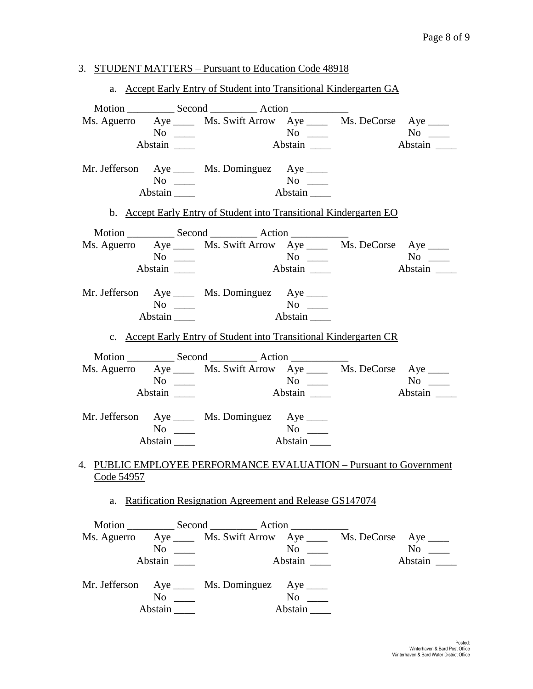#### 3. STUDENT MATTERS – Pursuant to Education Code 48918

a. Accept Early Entry of Student into Transitional Kindergarten GA Motion \_\_\_\_\_\_\_\_\_\_\_\_ Second \_\_\_\_\_\_\_\_\_\_\_\_ Action \_\_\_\_\_\_\_\_\_\_ Ms. Aguerro Aye Ms. Swift Arrow Aye Ms. DeCorse Aye Ms.  $\frac{1}{N}$  Ms. DeCorse Aye Mo No \_\_\_\_ No \_\_\_ No \_\_\_ No \_\_\_ Abstain \_\_\_\_ Abstain \_\_\_ Abstain \_\_\_ Abstain \_\_\_ Mr. Jefferson Aye \_\_\_\_ Ms. Dominguez Aye \_\_\_\_ No \_\_\_\_ No \_\_\_ Abstain \_\_\_\_\_ Abstain \_\_\_\_ b. Accept Early Entry of Student into Transitional Kindergarten EO Motion \_\_\_\_\_\_\_\_\_\_\_\_\_ Second \_\_\_\_\_\_\_\_\_\_\_\_\_ Action \_\_\_\_\_\_\_\_\_\_ Ms. Aguerro Aye Ms. Swift Arrow Aye Ms. DeCorse Aye Ms.  $\frac{1}{N}$  Ms. DeCorse Aye Mo No \_\_\_\_ No \_\_\_ No \_\_\_ No \_\_\_ Abstain \_\_\_\_ Abstain \_\_\_ Abstain \_\_\_ Abstain \_\_\_ Mr. Jefferson Aye \_\_\_\_ Ms. Dominguez Aye \_\_\_\_ No No <u>No</u> Abstain \_\_\_\_ Abstain \_\_\_\_ c. Accept Early Entry of Student into Transitional Kindergarten CR Motion \_\_\_\_\_\_\_\_\_\_ Second \_\_\_\_\_\_\_\_\_\_ Action \_\_\_\_\_\_\_\_\_ Ms. Aguerro Aye Ms. Swift Arrow Aye Ms. DeCorse Aye Ms.  $\frac{1}{N}$  Ms. DeCorse Aye Mo No \_\_\_\_ No \_\_\_ No \_\_\_ No \_\_\_ Abstain Latin and Abstain Abstain Abstain Abstain Abstain Abstain Abstain Abstain Abstain Abstain Abstain Abstain Abstain Abstain Abstain Abstain Abstain Abstain Abstain Abstain Abstain Abstain Abstain Abstain Abstain Abst Mr. Jefferson Aye \_\_\_\_ Ms. Dominguez Aye \_\_\_\_ No \_\_\_\_ No \_\_\_ Abstain \_\_\_\_\_ Abstain \_\_\_\_ 4. PUBLIC EMPLOYEE PERFORMANCE EVALUATION – Pursuant to Government Code 54957 a. Ratification Resignation Agreement and Release GS147074 Motion Second Action Ms. Aguerro Aye Ms. Swift Arrow Aye Ms. DeCorse Aye Ms.  $\frac{1}{N}$  Ms. DeCorse Aye Mo No \_\_\_ No \_\_ No \_\_ No \_\_ Abstain \_\_\_\_ Abstain \_\_\_\_ Abstain \_\_\_ Abstain \_\_\_ Mr. Jefferson Aye \_\_\_\_ Ms. Dominguez Aye \_\_\_\_ No \_\_\_\_ No \_\_\_ Abstain \_\_\_\_ Abstain \_\_\_\_